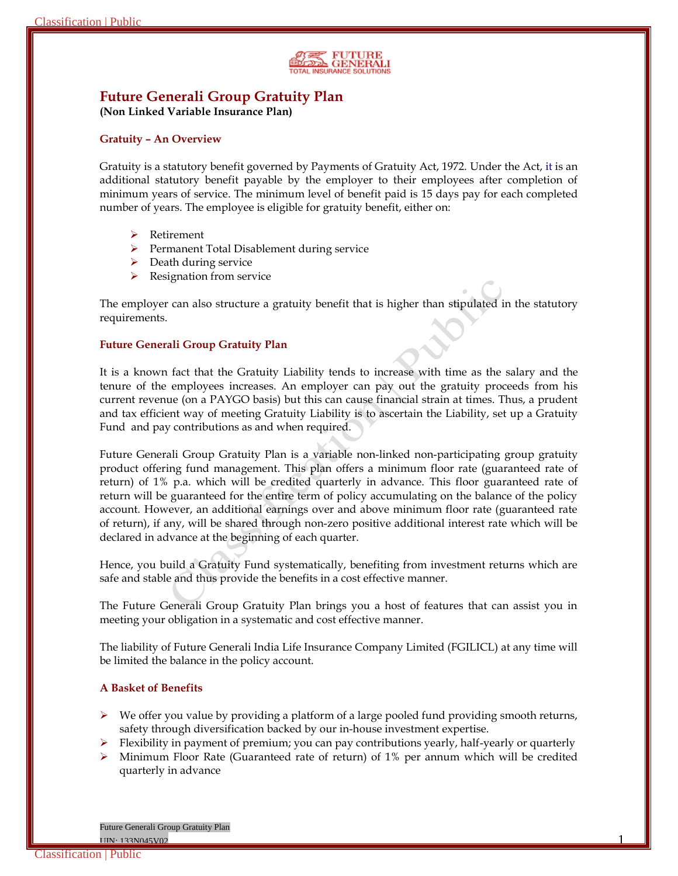

# **Future Generali Group Gratuity Plan**

**(Non Linked Variable Insurance Plan)**

### **Gratuity – An Overview**

Gratuity is a statutory benefit governed by Payments of Gratuity Act, 1972. Under the Act, it is an additional statutory benefit payable by the employer to their employees after completion of minimum years of service. The minimum level of benefit paid is 15 days pay for each completed number of years. The employee is eligible for gratuity benefit, either on:

- **▶** Retirement
- Permanent Total Disablement during service
- $\triangleright$  Death during service
- Resignation from service

The employer can also structure a gratuity benefit that is higher than stipulated in the statutory requirements.

### **Future Generali Group Gratuity Plan**

It is a known fact that the Gratuity Liability tends to increase with time as the salary and the tenure of the employees increases. An employer can pay out the gratuity proceeds from his current revenue (on a PAYGO basis) but this can cause financial strain at times. Thus, a prudent and tax efficient way of meeting Gratuity Liability is to ascertain the Liability, set up a Gratuity Fund and pay contributions as and when required.

Future Generali Group Gratuity Plan is a variable non-linked non-participating group gratuity product offering fund management. This plan offers a minimum floor rate (guaranteed rate of return) of 1% p.a. which will be credited quarterly in advance. This floor guaranteed rate of return will be guaranteed for the entire term of policy accumulating on the balance of the policy account. However, an additional earnings over and above minimum floor rate (guaranteed rate of return), if any, will be shared through non-zero positive additional interest rate which will be declared in advance at the beginning of each quarter.

Hence, you build a Gratuity Fund systematically, benefiting from investment returns which are safe and stable and thus provide the benefits in a cost effective manner.

The Future Generali Group Gratuity Plan brings you a host of features that can assist you in meeting your obligation in a systematic and cost effective manner.

The liability of Future Generali India Life Insurance Company Limited (FGILICL) at any time will be limited the balance in the policy account.

### **A Basket of Benefits**

- $\triangleright$  We offer you value by providing a platform of a large pooled fund providing smooth returns, safety through diversification backed by our in-house investment expertise.
- $\triangleright$  Flexibility in payment of premium; you can pay contributions yearly, half-yearly or quarterly
- $\triangleright$  Minimum Floor Rate (Guaranteed rate of return) of 1% per annum which will be credited quarterly in advance

Future Generali Group Gratuity Plan <u>UIN: 133N045V02 1 | 133N045V02 1 | 133N045V02 1 | 133N045V02 1 | 133N045V02 1 | 133N045V02 1 | 133N045V02 1 | 1</u>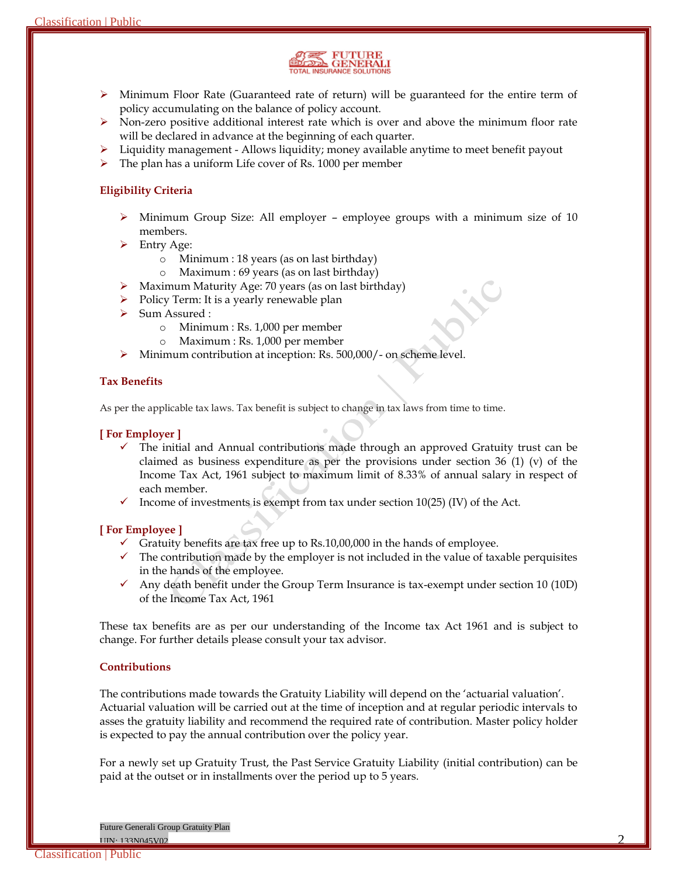

- $\triangleright$  Minimum Floor Rate (Guaranteed rate of return) will be guaranteed for the entire term of policy accumulating on the balance of policy account.
- $\triangleright$  Non-zero positive additional interest rate which is over and above the minimum floor rate will be declared in advance at the beginning of each quarter.
- $\triangleright$  Liquidity management Allows liquidity; money available anytime to meet benefit payout
- $\triangleright$  The plan has a uniform Life cover of Rs. 1000 per member

# **Eligibility Criteria**

- Minimum Group Size: All employer employee groups with a minimum size of 10 members.
- $\triangleright$  Entry Age:
	- o Minimum : 18 years (as on last birthday)
	- o Maximum : 69 years (as on last birthday)
- $\triangleright$  Maximum Maturity Age: 70 years (as on last birthday)
- $\triangleright$  Policy Term: It is a yearly renewable plan
- Sum Assured :
	- o Minimum : Rs. 1,000 per member
	- o Maximum : Rs. 1,000 per member
- Minimum contribution at inception: Rs. 500,000/- on scheme level.

# **Tax Benefits**

As per the applicable tax laws. Tax benefit is subject to change in tax laws from time to time.

## **[ For Employer ]**

- $\checkmark$  The initial and Annual contributions made through an approved Gratuity trust can be claimed as business expenditure as per the provisions under section 36 (1) (v) of the Income Tax Act, 1961 subject to maximum limit of 8.33% of annual salary in respect of each member.
- $\checkmark$  Income of investments is exempt from tax under section 10(25) (IV) of the Act.

### **[ For Employee ]**

- Gratuity benefits are tax free up to Rs.10,00,000 in the hands of employee.
- $\checkmark$  The contribution made by the employer is not included in the value of taxable perquisites in the hands of the employee.
- Any death benefit under the Group Term Insurance is tax-exempt under section 10 (10D) of the Income Tax Act, 1961

These tax benefits are as per our understanding of the Income tax Act 1961 and is subject to change. For further details please consult your tax advisor.

### **Contributions**

The contributions made towards the Gratuity Liability will depend on the 'actuarial valuation'. Actuarial valuation will be carried out at the time of inception and at regular periodic intervals to asses the gratuity liability and recommend the required rate of contribution. Master policy holder is expected to pay the annual contribution over the policy year.

For a newly set up Gratuity Trust, the Past Service Gratuity Liability (initial contribution) can be paid at the outset or in installments over the period up to 5 years.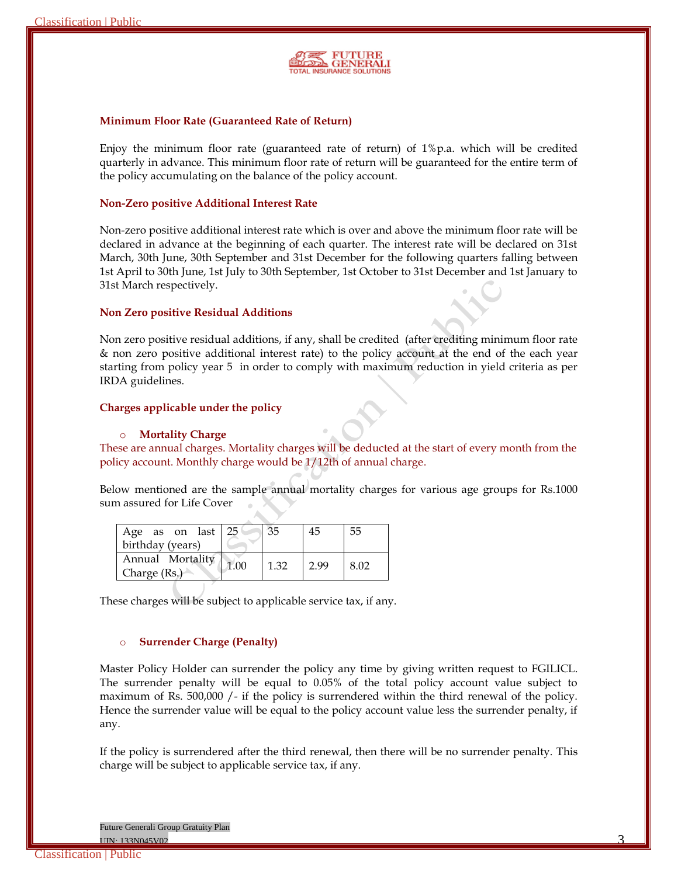

#### **Minimum Floor Rate (Guaranteed Rate of Return)**

Enjoy the minimum floor rate (guaranteed rate of return) of  $1\%$  p.a. which will be credited quarterly in advance. This minimum floor rate of return will be guaranteed for the entire term of the policy accumulating on the balance of the policy account.

#### **Non-Zero positive Additional Interest Rate**

Non-zero positive additional interest rate which is over and above the minimum floor rate will be declared in advance at the beginning of each quarter. The interest rate will be declared on 31st March, 30th June, 30th September and 31st December for the following quarters falling between 1st April to 30th June, 1st July to 30th September, 1st October to 31st December and 1st January to 31st March respectively.

### **Non Zero positive Residual Additions**

Non zero positive residual additions, if any, shall be credited (after crediting minimum floor rate & non zero positive additional interest rate) to the policy account at the end of the each year starting from policy year 5 in order to comply with maximum reduction in yield criteria as per IRDA guidelines.

### **Charges applicable under the policy**

#### o **Mortality Charge**

These are annual charges. Mortality charges will be deducted at the start of every month from the policy account. Monthly charge would be 1/12th of annual charge.

Below mentioned are the sample annual mortality charges for various age groups for Rs.1000 sum assured for Life Cover

| Age as on last 25<br>birthday (years) |      |      | 45   | 55   |
|---------------------------------------|------|------|------|------|
| Annual Mortality<br>Charge (Rs.)      | 1.00 | 1.32 | 2.99 | 8.02 |

These charges will be subject to applicable service tax, if any.

#### o **Surrender Charge (Penalty)**

Master Policy Holder can surrender the policy any time by giving written request to FGILICL. The surrender penalty will be equal to 0.05% of the total policy account value subject to maximum of Rs. 500,000 /- if the policy is surrendered within the third renewal of the policy. Hence the surrender value will be equal to the policy account value less the surrender penalty, if any.

If the policy is surrendered after the third renewal, then there will be no surrender penalty. This charge will be subject to applicable service tax, if any.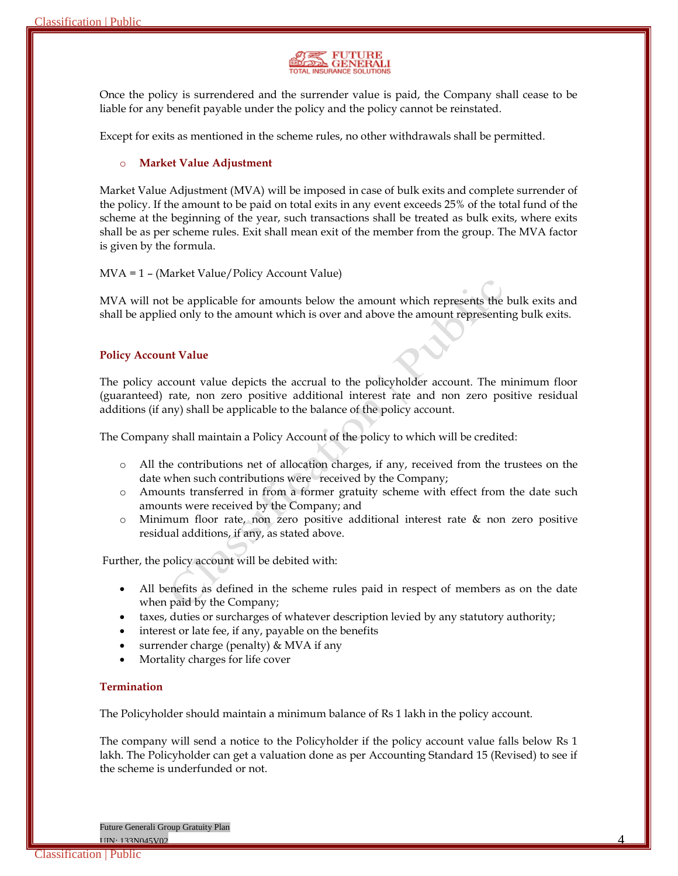

Once the policy is surrendered and the surrender value is paid, the Company shall cease to be liable for any benefit payable under the policy and the policy cannot be reinstated.

Except for exits as mentioned in the scheme rules, no other withdrawals shall be permitted.

## o **Market Value Adjustment**

Market Value Adjustment (MVA) will be imposed in case of bulk exits and complete surrender of the policy. If the amount to be paid on total exits in any event exceeds 25% of the total fund of the scheme at the beginning of the year, such transactions shall be treated as bulk exits, where exits shall be as per scheme rules. Exit shall mean exit of the member from the group. The MVA factor is given by the formula.

### MVA = 1 – (Market Value/Policy Account Value)

MVA will not be applicable for amounts below the amount which represents the bulk exits and shall be applied only to the amount which is over and above the amount representing bulk exits.

### **Policy Account Value**

The policy account value depicts the accrual to the policyholder account. The minimum floor (guaranteed) rate, non zero positive additional interest rate and non zero positive residual additions (if any) shall be applicable to the balance of the policy account.

The Company shall maintain a Policy Account of the policy to which will be credited:

- o All the contributions net of allocation charges, if any, received from the trustees on the date when such contributions were received by the Company;
- o Amounts transferred in from a former gratuity scheme with effect from the date such amounts were received by the Company; and
- o Minimum floor rate, non zero positive additional interest rate & non zero positive residual additions, if any, as stated above.

Further, the policy account will be debited with:

- All benefits as defined in the scheme rules paid in respect of members as on the date when paid by the Company;
- taxes, duties or surcharges of whatever description levied by any statutory authority;
- interest or late fee, if any, payable on the benefits
- surrender charge (penalty) & MVA if any
- Mortality charges for life cover

### **Termination**

The Policyholder should maintain a minimum balance of Rs 1 lakh in the policy account.

The company will send a notice to the Policyholder if the policy account value falls below Rs 1 lakh. The Policyholder can get a valuation done as per Accounting Standard 15 (Revised) to see if the scheme is underfunded or not.

 $\frac{4}{4}$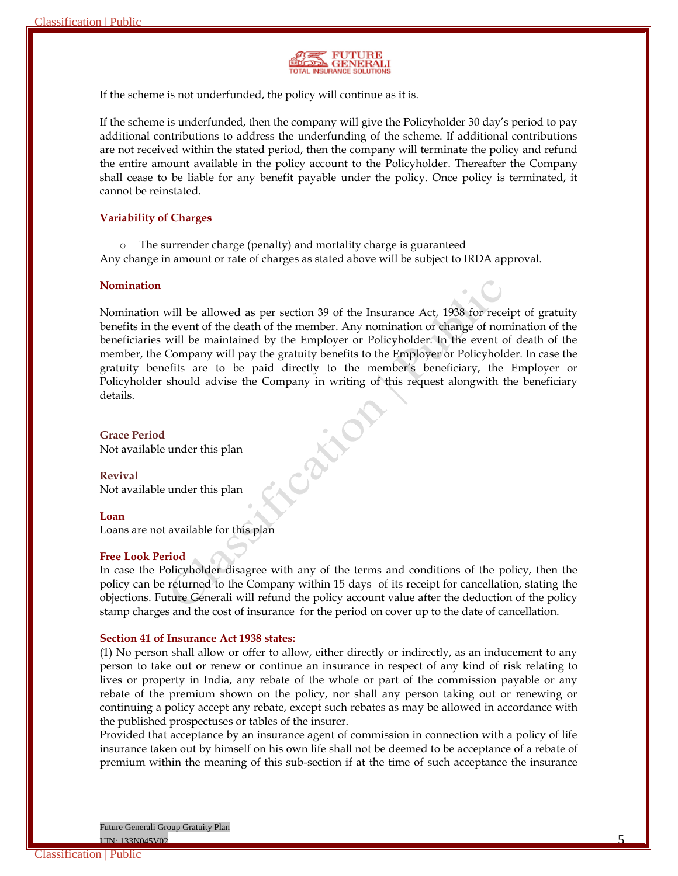

If the scheme is not underfunded, the policy will continue as it is.

If the scheme is underfunded, then the company will give the Policyholder 30 day's period to pay additional contributions to address the underfunding of the scheme. If additional contributions are not received within the stated period, then the company will terminate the policy and refund the entire amount available in the policy account to the Policyholder. Thereafter the Company shall cease to be liable for any benefit payable under the policy. Once policy is terminated, it cannot be reinstated.

#### **Variability of Charges**

o The surrender charge (penalty) and mortality charge is guaranteed Any change in amount or rate of charges as stated above will be subject to IRDA approval.

#### **Nomination**

Nomination will be allowed as per section 39 of the Insurance Act, 1938 for receipt of gratuity benefits in the event of the death of the member. Any nomination or change of nomination of the beneficiaries will be maintained by the Employer or Policyholder. In the event of death of the member, the Company will pay the gratuity benefits to the Employer or Policyholder. In case the gratuity benefits are to be paid directly to the member's beneficiary, the Employer or Policyholder should advise the Company in writing of this request alongwith the beneficiary details.

Cath

**Grace Period** Not available under this plan

**Revival** Not available under this plan

#### **Loan**

Loans are not available for this plan

### **Free Look Period**

In case the Policyholder disagree with any of the terms and conditions of the policy, then the policy can be returned to the Company within 15 days of its receipt for cancellation, stating the objections. Future Generali will refund the policy account value after the deduction of the policy stamp charges and the cost of insurance for the period on cover up to the date of cancellation.

#### **Section 41 of Insurance Act 1938 states:**

(1) No person shall allow or offer to allow, either directly or indirectly, as an inducement to any person to take out or renew or continue an insurance in respect of any kind of risk relating to lives or property in India, any rebate of the whole or part of the commission payable or any rebate of the premium shown on the policy, nor shall any person taking out or renewing or continuing a policy accept any rebate, except such rebates as may be allowed in accordance with the published prospectuses or tables of the insurer.

Provided that acceptance by an insurance agent of commission in connection with a policy of life insurance taken out by himself on his own life shall not be deemed to be acceptance of a rebate of premium within the meaning of this sub-section if at the time of such acceptance the insurance

Future Generali Group Gratuity Plan

 $UIN: 133N045V02$